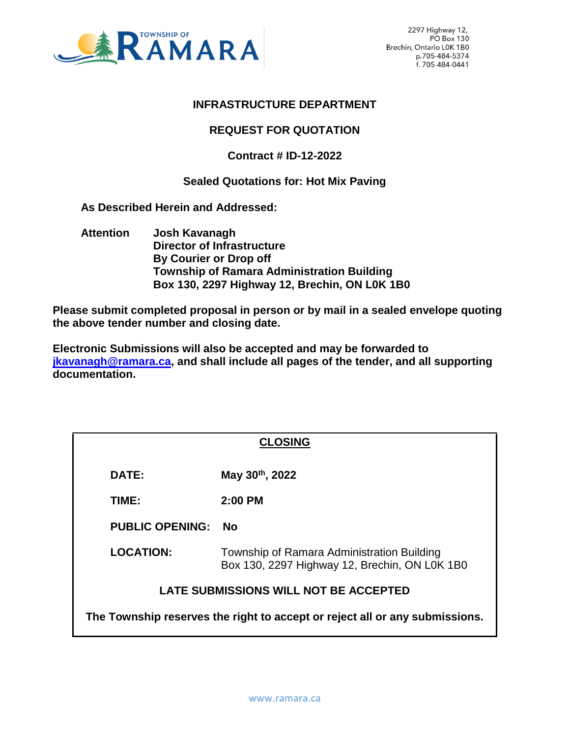

# **INFRASTRUCTURE DEPARTMENT**

# **REQUEST FOR QUOTATION**

# **Contract # ID-12-2022**

#### **Sealed Quotations for: Hot Mix Paving**

 **As Described Herein and Addressed:** 

 **Attention Josh Kavanagh Director of Infrastructure By Courier or Drop off Township of Ramara Administration Building Box 130, 2297 Highway 12, Brechin, ON L0K 1B0**

**Please submit completed proposal in person or by mail in a sealed envelope quoting the above tender number and closing date.**

**Electronic Submissions will also be accepted and may be forwarded to [jkavanagh@ramara.ca,](mailto:jkavanagh@ramara.ca) and shall include all pages of the tender, and all supporting documentation.** 

|                                                                             | <b>CLOSING</b>                                                                              |  |  |  |
|-----------------------------------------------------------------------------|---------------------------------------------------------------------------------------------|--|--|--|
| <b>DATE:</b>                                                                | May 30th, 2022                                                                              |  |  |  |
| TIME:                                                                       | $2:00$ PM                                                                                   |  |  |  |
| <b>PUBLIC OPENING:</b>                                                      | <b>No</b>                                                                                   |  |  |  |
| <b>LOCATION:</b>                                                            | Township of Ramara Administration Building<br>Box 130, 2297 Highway 12, Brechin, ON LOK 1B0 |  |  |  |
| <b>LATE SUBMISSIONS WILL NOT BE ACCEPTED</b>                                |                                                                                             |  |  |  |
| The Township reserves the right to accept or reject all or any submissions. |                                                                                             |  |  |  |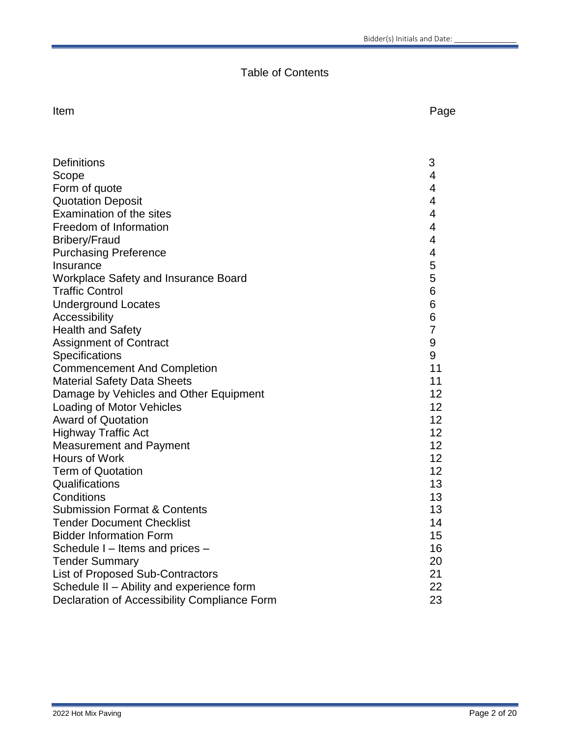# Table of Contents

Item **International Contract Contract Contract Contract Contract Contract Contract Contract Contract Contract Contract Contract Contract Contract Contract Contract Contract Contract Contract Contract Contract Contract Cont** 

| <b>Definitions</b>                           | 3              |
|----------------------------------------------|----------------|
| Scope                                        | $\overline{4}$ |
| Form of quote                                | $\overline{4}$ |
| <b>Quotation Deposit</b>                     | 4              |
| Examination of the sites                     | 4              |
| Freedom of Information                       | 4              |
| <b>Bribery/Fraud</b>                         | 4              |
| <b>Purchasing Preference</b>                 | 4              |
| Insurance                                    | 5              |
| Workplace Safety and Insurance Board         | 5              |
| <b>Traffic Control</b>                       | 6              |
| <b>Underground Locates</b>                   | 6              |
| Accessibility                                | 6              |
| <b>Health and Safety</b>                     | 7              |
| <b>Assignment of Contract</b>                | 9              |
| Specifications                               | 9              |
| <b>Commencement And Completion</b>           | 11             |
| <b>Material Safety Data Sheets</b>           | 11             |
| Damage by Vehicles and Other Equipment       | 12             |
| Loading of Motor Vehicles                    | 12             |
| <b>Award of Quotation</b>                    | 12             |
| <b>Highway Traffic Act</b>                   | 12             |
| <b>Measurement and Payment</b>               | 12             |
| Hours of Work                                | 12             |
| <b>Term of Quotation</b>                     | 12             |
| Qualifications                               | 13             |
| Conditions                                   | 13             |
| <b>Submission Format &amp; Contents</b>      | 13             |
| <b>Tender Document Checklist</b>             | 14             |
| <b>Bidder Information Form</b>               | 15             |
| Schedule I - Items and prices -              | 16             |
| <b>Tender Summary</b>                        | 20             |
| <b>List of Proposed Sub-Contractors</b>      | 21             |
| Schedule II - Ability and experience form    | 22             |
| Declaration of Accessibility Compliance Form | 23             |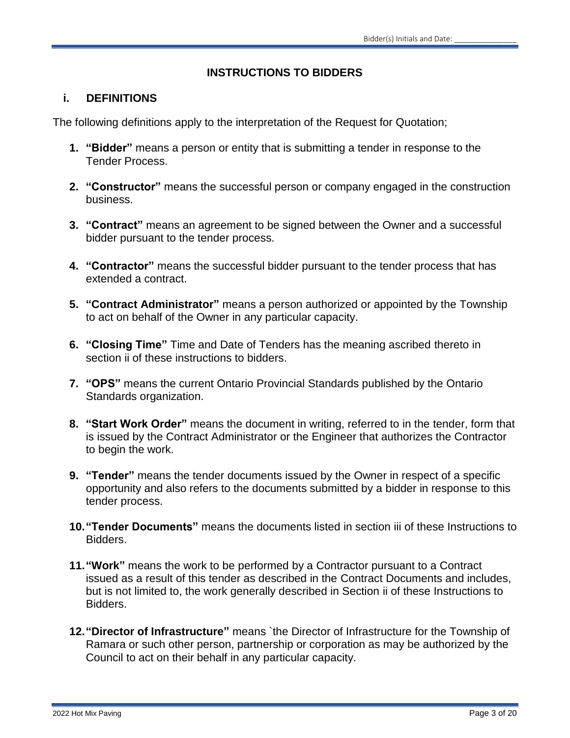# **INSTRUCTIONS TO BIDDERS**

# **i. DEFINITIONS**

The following definitions apply to the interpretation of the Request for Quotation;

- **1. "Bidder"** means a person or entity that is submitting a tender in response to the Tender Process.
- **2. "Constructor"** means the successful person or company engaged in the construction business.
- **3. "Contract"** means an agreement to be signed between the Owner and a successful bidder pursuant to the tender process.
- **4. "Contractor"** means the successful bidder pursuant to the tender process that has extended a contract.
- **5. "Contract Administrator"** means a person authorized or appointed by the Township to act on behalf of the Owner in any particular capacity.
- **6. "Closing Time"** Time and Date of Tenders has the meaning ascribed thereto in section ii of these instructions to bidders.
- **7. "OPS"** means the current Ontario Provincial Standards published by the Ontario Standards organization.
- **8. "Start Work Order"** means the document in writing, referred to in the tender, form that is issued by the Contract Administrator or the Engineer that authorizes the Contractor to begin the work.
- **9. "Tender"** means the tender documents issued by the Owner in respect of a specific opportunity and also refers to the documents submitted by a bidder in response to this tender process.
- **10."Tender Documents"** means the documents listed in section iii of these Instructions to Bidders.
- **11."Work"** means the work to be performed by a Contractor pursuant to a Contract issued as a result of this tender as described in the Contract Documents and includes, but is not limited to, the work generally described in Section ii of these Instructions to Bidders.
- **12."Director of Infrastructure"** means `the Director of Infrastructure for the Township of Ramara or such other person, partnership or corporation as may be authorized by the Council to act on their behalf in any particular capacity.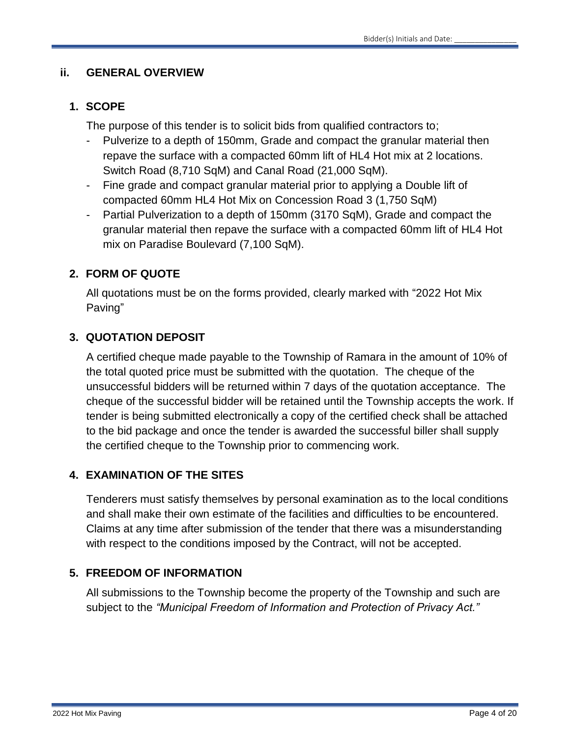# **ii. GENERAL OVERVIEW**

# **1. SCOPE**

The purpose of this tender is to solicit bids from qualified contractors to;

- Pulverize to a depth of 150mm, Grade and compact the granular material then repave the surface with a compacted 60mm lift of HL4 Hot mix at 2 locations. Switch Road (8,710 SqM) and Canal Road (21,000 SqM).
- Fine grade and compact granular material prior to applying a Double lift of compacted 60mm HL4 Hot Mix on Concession Road 3 (1,750 SqM)
- Partial Pulverization to a depth of 150mm (3170 SqM), Grade and compact the granular material then repave the surface with a compacted 60mm lift of HL4 Hot mix on Paradise Boulevard (7,100 SqM).

# **2. FORM OF QUOTE**

All quotations must be on the forms provided, clearly marked with "2022 Hot Mix Paving"

# **3. QUOTATION DEPOSIT**

A certified cheque made payable to the Township of Ramara in the amount of 10% of the total quoted price must be submitted with the quotation. The cheque of the unsuccessful bidders will be returned within 7 days of the quotation acceptance. The cheque of the successful bidder will be retained until the Township accepts the work. If tender is being submitted electronically a copy of the certified check shall be attached to the bid package and once the tender is awarded the successful biller shall supply the certified cheque to the Township prior to commencing work.

# **4. EXAMINATION OF THE SITES**

Tenderers must satisfy themselves by personal examination as to the local conditions and shall make their own estimate of the facilities and difficulties to be encountered. Claims at any time after submission of the tender that there was a misunderstanding with respect to the conditions imposed by the Contract, will not be accepted.

# **5. FREEDOM OF INFORMATION**

All submissions to the Township become the property of the Township and such are subject to the *"Municipal Freedom of Information and Protection of Privacy Act."*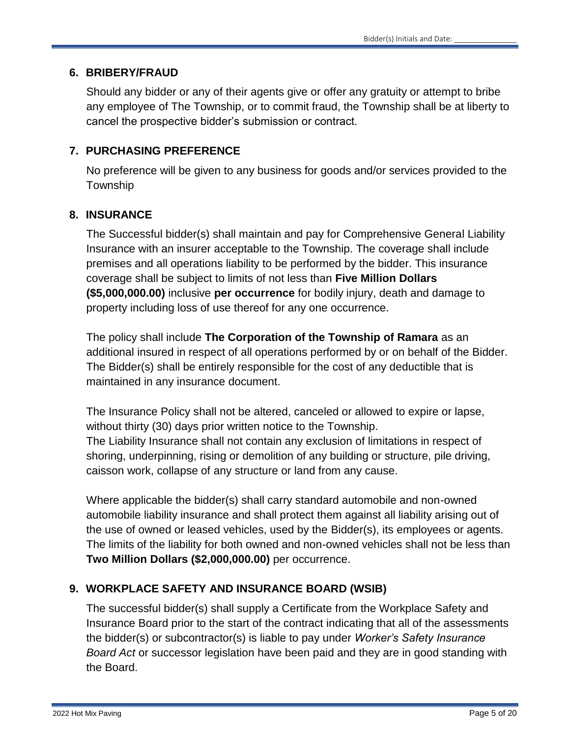#### **6. BRIBERY/FRAUD**

Should any bidder or any of their agents give or offer any gratuity or attempt to bribe any employee of The Township, or to commit fraud, the Township shall be at liberty to cancel the prospective bidder's submission or contract.

# **7. PURCHASING PREFERENCE**

No preference will be given to any business for goods and/or services provided to the **Township** 

# **8. INSURANCE**

The Successful bidder(s) shall maintain and pay for Comprehensive General Liability Insurance with an insurer acceptable to the Township. The coverage shall include premises and all operations liability to be performed by the bidder. This insurance coverage shall be subject to limits of not less than **Five Million Dollars (\$5,000,000.00)** inclusive **per occurrence** for bodily injury, death and damage to property including loss of use thereof for any one occurrence.

The policy shall include **The Corporation of the Township of Ramara** as an additional insured in respect of all operations performed by or on behalf of the Bidder. The Bidder(s) shall be entirely responsible for the cost of any deductible that is maintained in any insurance document.

The Insurance Policy shall not be altered, canceled or allowed to expire or lapse, without thirty (30) days prior written notice to the Township. The Liability Insurance shall not contain any exclusion of limitations in respect of shoring, underpinning, rising or demolition of any building or structure, pile driving, caisson work, collapse of any structure or land from any cause.

Where applicable the bidder(s) shall carry standard automobile and non-owned automobile liability insurance and shall protect them against all liability arising out of the use of owned or leased vehicles, used by the Bidder(s), its employees or agents. The limits of the liability for both owned and non-owned vehicles shall not be less than **Two Million Dollars (\$2,000,000.00)** per occurrence.

# **9. WORKPLACE SAFETY AND INSURANCE BOARD (WSIB)**

The successful bidder(s) shall supply a Certificate from the Workplace Safety and Insurance Board prior to the start of the contract indicating that all of the assessments the bidder(s) or subcontractor(s) is liable to pay under *Worker's Safety Insurance Board Act* or successor legislation have been paid and they are in good standing with the Board.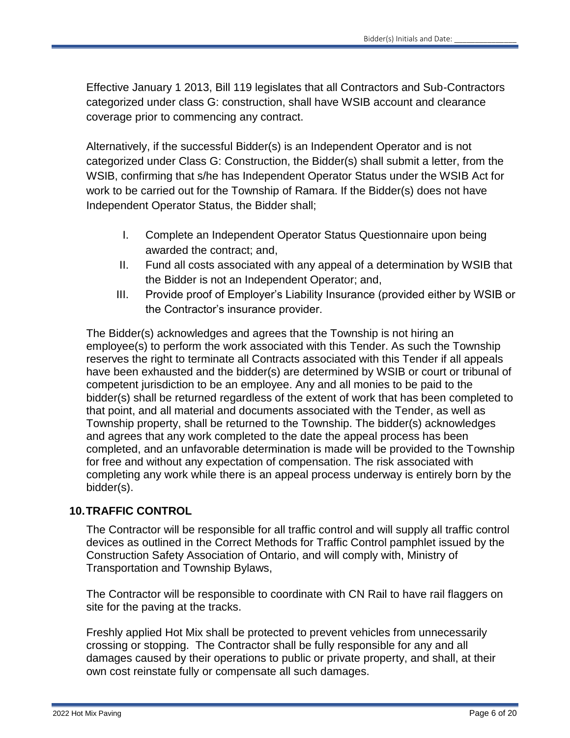Effective January 1 2013, Bill 119 legislates that all Contractors and Sub-Contractors categorized under class G: construction, shall have WSIB account and clearance coverage prior to commencing any contract.

Alternatively, if the successful Bidder(s) is an Independent Operator and is not categorized under Class G: Construction, the Bidder(s) shall submit a letter, from the WSIB, confirming that s/he has Independent Operator Status under the WSIB Act for work to be carried out for the Township of Ramara. If the Bidder(s) does not have Independent Operator Status, the Bidder shall;

- I. Complete an Independent Operator Status Questionnaire upon being awarded the contract; and,
- II. Fund all costs associated with any appeal of a determination by WSIB that the Bidder is not an Independent Operator; and,
- III. Provide proof of Employer's Liability Insurance (provided either by WSIB or the Contractor's insurance provider.

The Bidder(s) acknowledges and agrees that the Township is not hiring an employee(s) to perform the work associated with this Tender. As such the Township reserves the right to terminate all Contracts associated with this Tender if all appeals have been exhausted and the bidder(s) are determined by WSIB or court or tribunal of competent jurisdiction to be an employee. Any and all monies to be paid to the bidder(s) shall be returned regardless of the extent of work that has been completed to that point, and all material and documents associated with the Tender, as well as Township property, shall be returned to the Township. The bidder(s) acknowledges and agrees that any work completed to the date the appeal process has been completed, and an unfavorable determination is made will be provided to the Township for free and without any expectation of compensation. The risk associated with completing any work while there is an appeal process underway is entirely born by the bidder(s).

# **10.TRAFFIC CONTROL**

The Contractor will be responsible for all traffic control and will supply all traffic control devices as outlined in the Correct Methods for Traffic Control pamphlet issued by the Construction Safety Association of Ontario, and will comply with, Ministry of Transportation and Township Bylaws,

The Contractor will be responsible to coordinate with CN Rail to have rail flaggers on site for the paving at the tracks.

Freshly applied Hot Mix shall be protected to prevent vehicles from unnecessarily crossing or stopping. The Contractor shall be fully responsible for any and all damages caused by their operations to public or private property, and shall, at their own cost reinstate fully or compensate all such damages.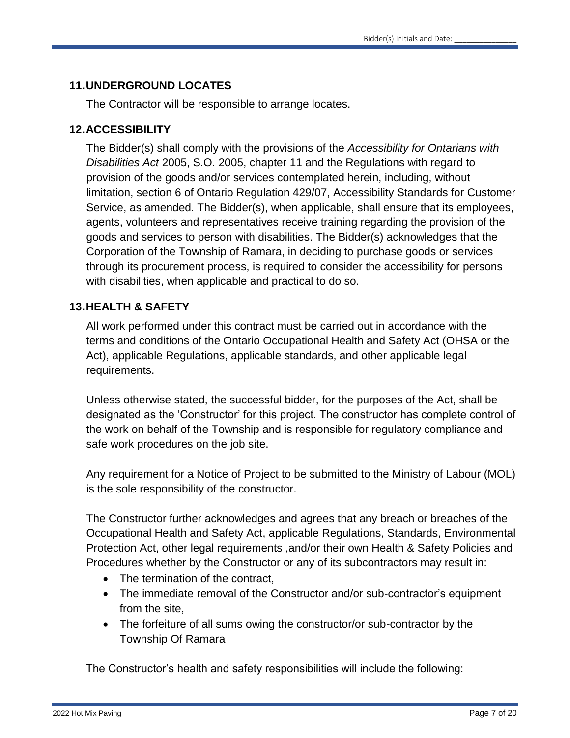# **11.UNDERGROUND LOCATES**

The Contractor will be responsible to arrange locates.

# **12.ACCESSIBILITY**

The Bidder(s) shall comply with the provisions of the *Accessibility for Ontarians with Disabilities Act* 2005, S.O. 2005, chapter 11 and the Regulations with regard to provision of the goods and/or services contemplated herein, including, without limitation, section 6 of Ontario Regulation 429/07, Accessibility Standards for Customer Service, as amended. The Bidder(s), when applicable, shall ensure that its employees, agents, volunteers and representatives receive training regarding the provision of the goods and services to person with disabilities. The Bidder(s) acknowledges that the Corporation of the Township of Ramara, in deciding to purchase goods or services through its procurement process, is required to consider the accessibility for persons with disabilities, when applicable and practical to do so.

# **13.HEALTH & SAFETY**

All work performed under this contract must be carried out in accordance with the terms and conditions of the Ontario Occupational Health and Safety Act (OHSA or the Act), applicable Regulations, applicable standards, and other applicable legal requirements.

Unless otherwise stated, the successful bidder, for the purposes of the Act, shall be designated as the 'Constructor' for this project. The constructor has complete control of the work on behalf of the Township and is responsible for regulatory compliance and safe work procedures on the job site.

Any requirement for a Notice of Project to be submitted to the Ministry of Labour (MOL) is the sole responsibility of the constructor.

The Constructor further acknowledges and agrees that any breach or breaches of the Occupational Health and Safety Act, applicable Regulations, Standards, Environmental Protection Act, other legal requirements ,and/or their own Health & Safety Policies and Procedures whether by the Constructor or any of its subcontractors may result in:

- The termination of the contract,
- The immediate removal of the Constructor and/or sub-contractor's equipment from the site,
- The forfeiture of all sums owing the constructor/or sub-contractor by the Township Of Ramara

The Constructor's health and safety responsibilities will include the following: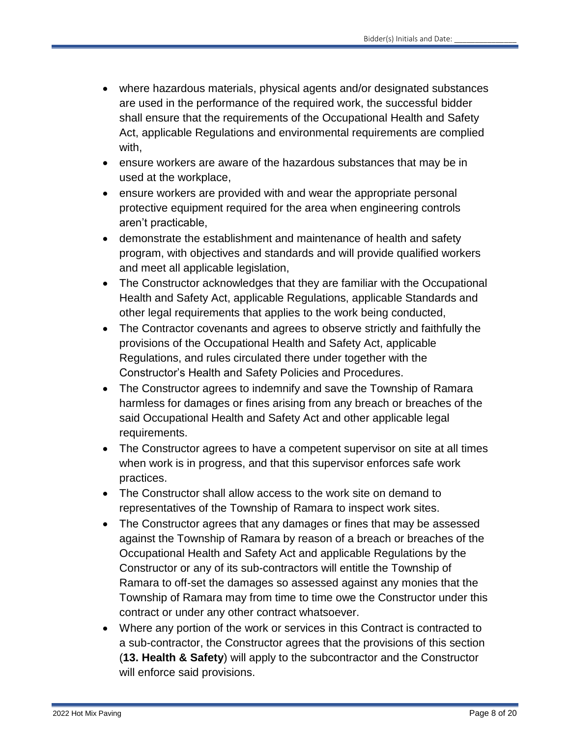- where hazardous materials, physical agents and/or designated substances are used in the performance of the required work, the successful bidder shall ensure that the requirements of the Occupational Health and Safety Act, applicable Regulations and environmental requirements are complied with,
- ensure workers are aware of the hazardous substances that may be in used at the workplace,
- ensure workers are provided with and wear the appropriate personal protective equipment required for the area when engineering controls aren't practicable,
- demonstrate the establishment and maintenance of health and safety program, with objectives and standards and will provide qualified workers and meet all applicable legislation,
- The Constructor acknowledges that they are familiar with the Occupational Health and Safety Act, applicable Regulations, applicable Standards and other legal requirements that applies to the work being conducted,
- The Contractor covenants and agrees to observe strictly and faithfully the provisions of the Occupational Health and Safety Act, applicable Regulations, and rules circulated there under together with the Constructor's Health and Safety Policies and Procedures.
- The Constructor agrees to indemnify and save the Township of Ramara harmless for damages or fines arising from any breach or breaches of the said Occupational Health and Safety Act and other applicable legal requirements.
- The Constructor agrees to have a competent supervisor on site at all times when work is in progress, and that this supervisor enforces safe work practices.
- The Constructor shall allow access to the work site on demand to representatives of the Township of Ramara to inspect work sites.
- The Constructor agrees that any damages or fines that may be assessed against the Township of Ramara by reason of a breach or breaches of the Occupational Health and Safety Act and applicable Regulations by the Constructor or any of its sub-contractors will entitle the Township of Ramara to off-set the damages so assessed against any monies that the Township of Ramara may from time to time owe the Constructor under this contract or under any other contract whatsoever.
- Where any portion of the work or services in this Contract is contracted to a sub-contractor, the Constructor agrees that the provisions of this section (**13. Health & Safety**) will apply to the subcontractor and the Constructor will enforce said provisions.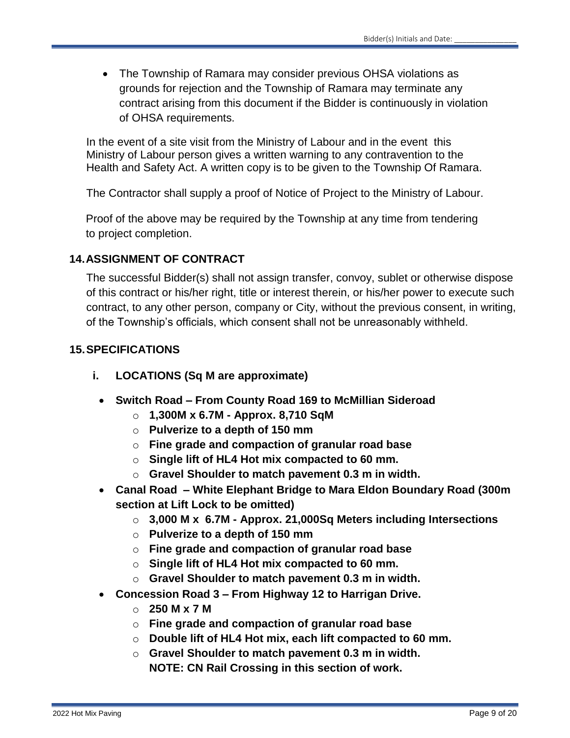The Township of Ramara may consider previous OHSA violations as grounds for rejection and the Township of Ramara may terminate any contract arising from this document if the Bidder is continuously in violation of OHSA requirements.

In the event of a site visit from the Ministry of Labour and in the event this Ministry of Labour person gives a written warning to any contravention to the Health and Safety Act. A written copy is to be given to the Township Of Ramara.

The Contractor shall supply a proof of Notice of Project to the Ministry of Labour.

Proof of the above may be required by the Township at any time from tendering to project completion.

# **14.ASSIGNMENT OF CONTRACT**

The successful Bidder(s) shall not assign transfer, convoy, sublet or otherwise dispose of this contract or his/her right, title or interest therein, or his/her power to execute such contract, to any other person, company or City, without the previous consent, in writing, of the Township's officials, which consent shall not be unreasonably withheld.

# **15.SPECIFICATIONS**

- **i. LOCATIONS (Sq M are approximate)**
	- **Switch Road – From County Road 169 to McMillian Sideroad**
		- o **1,300M x 6.7M - Approx. 8,710 SqM**
		- o **Pulverize to a depth of 150 mm**
		- o **Fine grade and compaction of granular road base**
		- o **Single lift of HL4 Hot mix compacted to 60 mm.**
		- o **Gravel Shoulder to match pavement 0.3 m in width.**
	- **Canal Road – White Elephant Bridge to Mara Eldon Boundary Road (300m section at Lift Lock to be omitted)** 
		- o **3,000 M x 6.7M - Approx. 21,000Sq Meters including Intersections**
		- o **Pulverize to a depth of 150 mm**
		- o **Fine grade and compaction of granular road base**
		- o **Single lift of HL4 Hot mix compacted to 60 mm.**
		- o **Gravel Shoulder to match pavement 0.3 m in width.**
	- **Concession Road 3 – From Highway 12 to Harrigan Drive.**
		- o **250 M x 7 M**
		- o **Fine grade and compaction of granular road base**
		- o **Double lift of HL4 Hot mix, each lift compacted to 60 mm.**
		- o **Gravel Shoulder to match pavement 0.3 m in width. NOTE: CN Rail Crossing in this section of work.**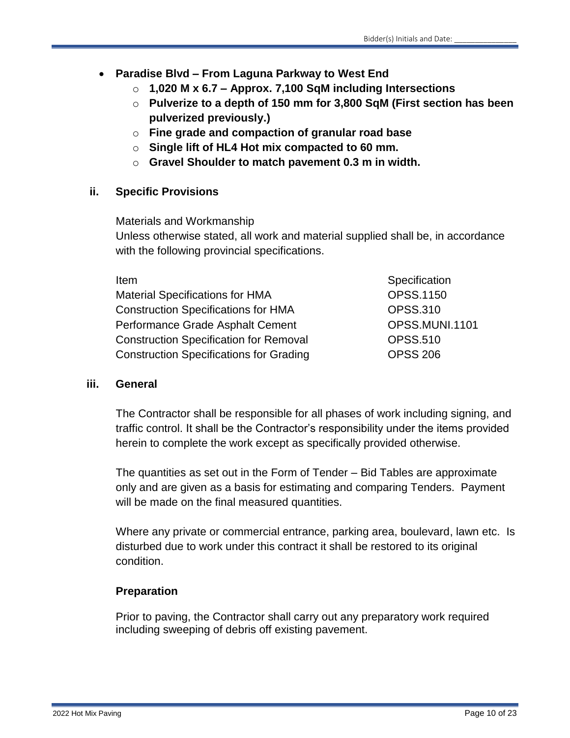# **Paradise Blvd – From Laguna Parkway to West End**

- o **1,020 M x 6.7 – Approx. 7,100 SqM including Intersections**
- o **Pulverize to a depth of 150 mm for 3,800 SqM (First section has been pulverized previously.)**
- o **Fine grade and compaction of granular road base**
- o **Single lift of HL4 Hot mix compacted to 60 mm.**
- o **Gravel Shoulder to match pavement 0.3 m in width.**

# **ii. Specific Provisions**

Materials and Workmanship

Unless otherwise stated, all work and material supplied shall be, in accordance with the following provincial specifications.

| Item                                           | Specification    |
|------------------------------------------------|------------------|
| <b>Material Specifications for HMA</b>         | <b>OPSS.1150</b> |
| <b>Construction Specifications for HMA</b>     | <b>OPSS.310</b>  |
| Performance Grade Asphalt Cement               | OPSS.MUNI.1101   |
| <b>Construction Specification for Removal</b>  | <b>OPSS.510</b>  |
| <b>Construction Specifications for Grading</b> | <b>OPSS 206</b>  |
|                                                |                  |

#### **iii. General**

The Contractor shall be responsible for all phases of work including signing, and traffic control. It shall be the Contractor's responsibility under the items provided herein to complete the work except as specifically provided otherwise.

The quantities as set out in the Form of Tender – Bid Tables are approximate only and are given as a basis for estimating and comparing Tenders. Payment will be made on the final measured quantities.

Where any private or commercial entrance, parking area, boulevard, lawn etc. Is disturbed due to work under this contract it shall be restored to its original condition.

# **Preparation**

Prior to paving, the Contractor shall carry out any preparatory work required including sweeping of debris off existing pavement.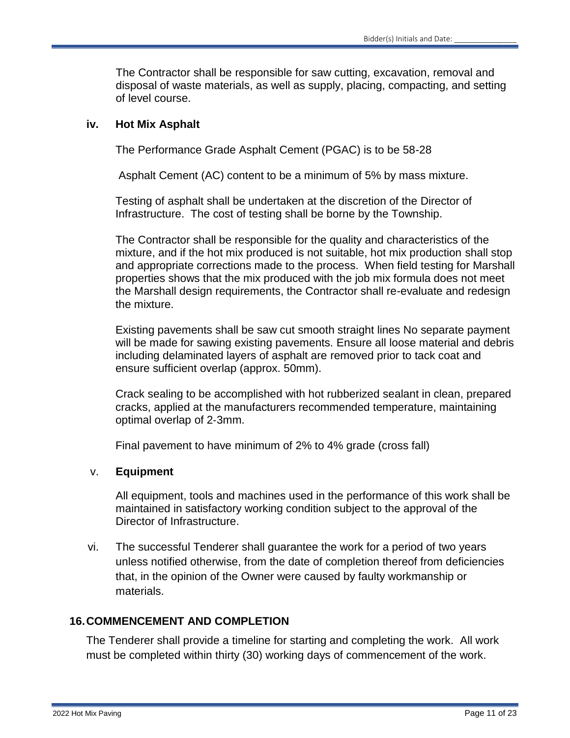The Contractor shall be responsible for saw cutting, excavation, removal and disposal of waste materials, as well as supply, placing, compacting, and setting of level course.

#### **iv. Hot Mix Asphalt**

The Performance Grade Asphalt Cement (PGAC) is to be 58-28

Asphalt Cement (AC) content to be a minimum of 5% by mass mixture.

Testing of asphalt shall be undertaken at the discretion of the Director of Infrastructure. The cost of testing shall be borne by the Township.

The Contractor shall be responsible for the quality and characteristics of the mixture, and if the hot mix produced is not suitable, hot mix production shall stop and appropriate corrections made to the process. When field testing for Marshall properties shows that the mix produced with the job mix formula does not meet the Marshall design requirements, the Contractor shall re-evaluate and redesign the mixture.

Existing pavements shall be saw cut smooth straight lines No separate payment will be made for sawing existing pavements. Ensure all loose material and debris including delaminated layers of asphalt are removed prior to tack coat and ensure sufficient overlap (approx. 50mm).

Crack sealing to be accomplished with hot rubberized sealant in clean, prepared cracks, applied at the manufacturers recommended temperature, maintaining optimal overlap of 2‐3mm.

Final pavement to have minimum of 2% to 4% grade (cross fall)

#### v. **Equipment**

All equipment, tools and machines used in the performance of this work shall be maintained in satisfactory working condition subject to the approval of the Director of Infrastructure.

vi. The successful Tenderer shall guarantee the work for a period of two years unless notified otherwise, from the date of completion thereof from deficiencies that, in the opinion of the Owner were caused by faulty workmanship or materials.

# **16.COMMENCEMENT AND COMPLETION**

The Tenderer shall provide a timeline for starting and completing the work. All work must be completed within thirty (30) working days of commencement of the work.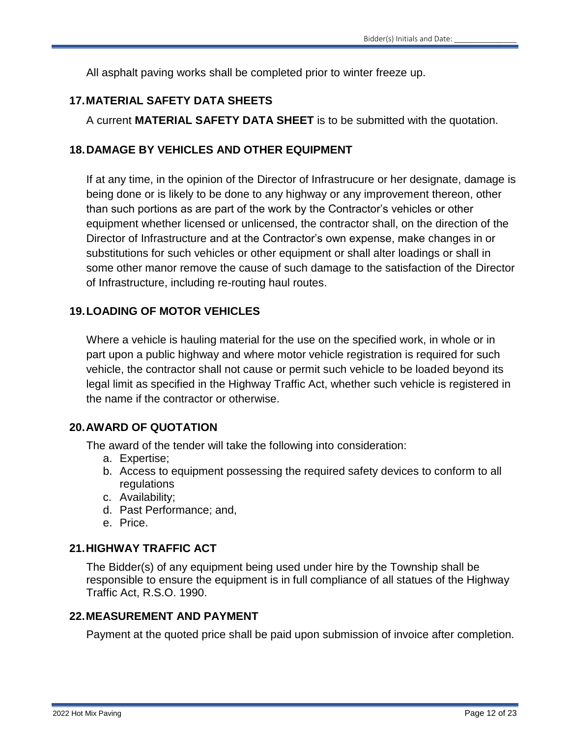All asphalt paving works shall be completed prior to winter freeze up.

# **17.MATERIAL SAFETY DATA SHEETS**

A current **MATERIAL SAFETY DATA SHEET** is to be submitted with the quotation.

# **18.DAMAGE BY VEHICLES AND OTHER EQUIPMENT**

If at any time, in the opinion of the Director of Infrastrucure or her designate, damage is being done or is likely to be done to any highway or any improvement thereon, other than such portions as are part of the work by the Contractor's vehicles or other equipment whether licensed or unlicensed, the contractor shall, on the direction of the Director of Infrastructure and at the Contractor's own expense, make changes in or substitutions for such vehicles or other equipment or shall alter loadings or shall in some other manor remove the cause of such damage to the satisfaction of the Director of Infrastructure, including re-routing haul routes.

# **19.LOADING OF MOTOR VEHICLES**

Where a vehicle is hauling material for the use on the specified work, in whole or in part upon a public highway and where motor vehicle registration is required for such vehicle, the contractor shall not cause or permit such vehicle to be loaded beyond its legal limit as specified in the Highway Traffic Act, whether such vehicle is registered in the name if the contractor or otherwise.

# **20.AWARD OF QUOTATION**

The award of the tender will take the following into consideration:

- a. Expertise;
- b. Access to equipment possessing the required safety devices to conform to all regulations
- c. Availability;
- d. Past Performance; and,
- e. Price.

# **21.HIGHWAY TRAFFIC ACT**

The Bidder(s) of any equipment being used under hire by the Township shall be responsible to ensure the equipment is in full compliance of all statues of the Highway Traffic Act, R.S.O. 1990.

# **22.MEASUREMENT AND PAYMENT**

Payment at the quoted price shall be paid upon submission of invoice after completion.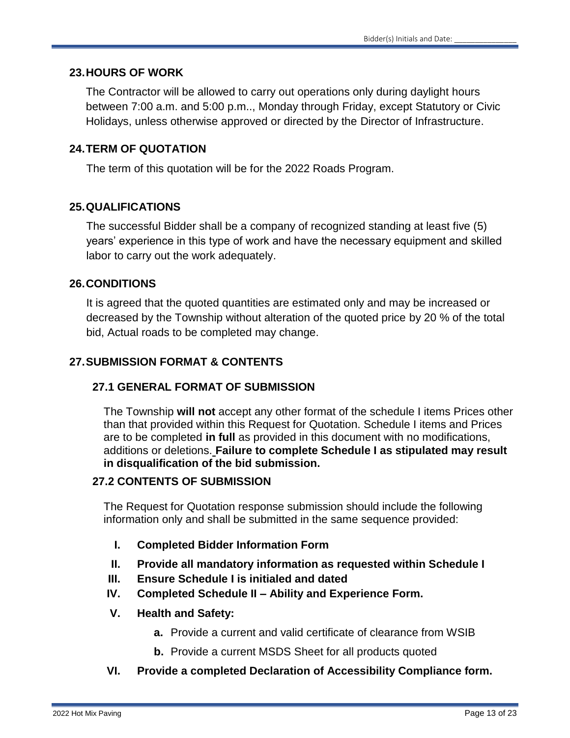#### **23.HOURS OF WORK**

The Contractor will be allowed to carry out operations only during daylight hours between 7:00 a.m. and 5:00 p.m.., Monday through Friday, except Statutory or Civic Holidays, unless otherwise approved or directed by the Director of Infrastructure.

# **24.TERM OF QUOTATION**

The term of this quotation will be for the 2022 Roads Program.

#### **25.QUALIFICATIONS**

The successful Bidder shall be a company of recognized standing at least five (5) years' experience in this type of work and have the necessary equipment and skilled labor to carry out the work adequately.

#### **26.CONDITIONS**

It is agreed that the quoted quantities are estimated only and may be increased or decreased by the Township without alteration of the quoted price by 20 % of the total bid, Actual roads to be completed may change.

# **27.SUBMISSION FORMAT & CONTENTS**

# **27.1 GENERAL FORMAT OF SUBMISSION**

The Township **will not** accept any other format of the schedule I items Prices other than that provided within this Request for Quotation. Schedule I items and Prices are to be completed **in full** as provided in this document with no modifications, additions or deletions. **Failure to complete Schedule I as stipulated may result in disqualification of the bid submission.**

#### **27.2 CONTENTS OF SUBMISSION**

The Request for Quotation response submission should include the following information only and shall be submitted in the same sequence provided:

- **I. Completed Bidder Information Form**
- **II. Provide all mandatory information as requested within Schedule I**
- **III. Ensure Schedule I is initialed and dated**
- **IV. Completed Schedule II – Ability and Experience Form.**
- **V. Health and Safety:**
	- **a.** Provide a current and valid certificate of clearance from WSIB
	- **b.** Provide a current MSDS Sheet for all products quoted
- **VI. Provide a completed Declaration of Accessibility Compliance form.**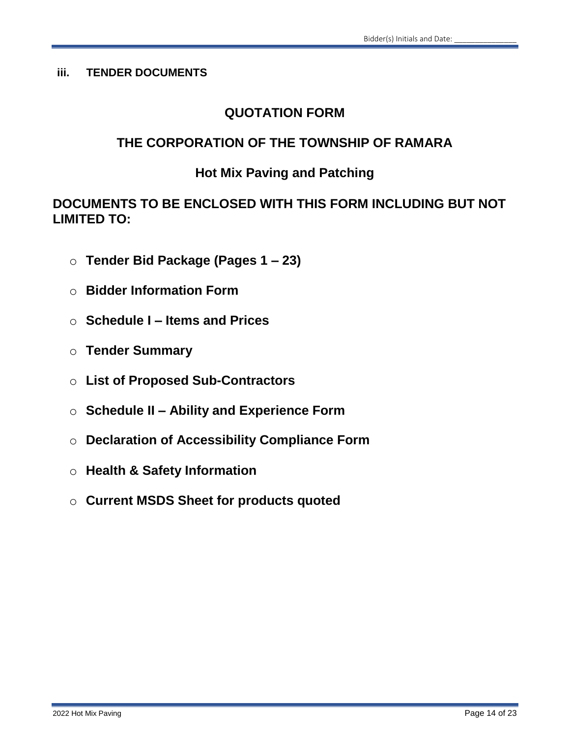# **iii. TENDER DOCUMENTS**

# **QUOTATION FORM**

# **THE CORPORATION OF THE TOWNSHIP OF RAMARA**

# **Hot Mix Paving and Patching**

# **DOCUMENTS TO BE ENCLOSED WITH THIS FORM INCLUDING BUT NOT LIMITED TO:**

- o **Tender Bid Package (Pages 1 – 23)**
- o **Bidder Information Form**
- o **Schedule I – Items and Prices**
- o **Tender Summary**
- o **List of Proposed Sub-Contractors**
- o **Schedule II – Ability and Experience Form**
- o **Declaration of Accessibility Compliance Form**
- o **Health & Safety Information**
- o **Current MSDS Sheet for products quoted**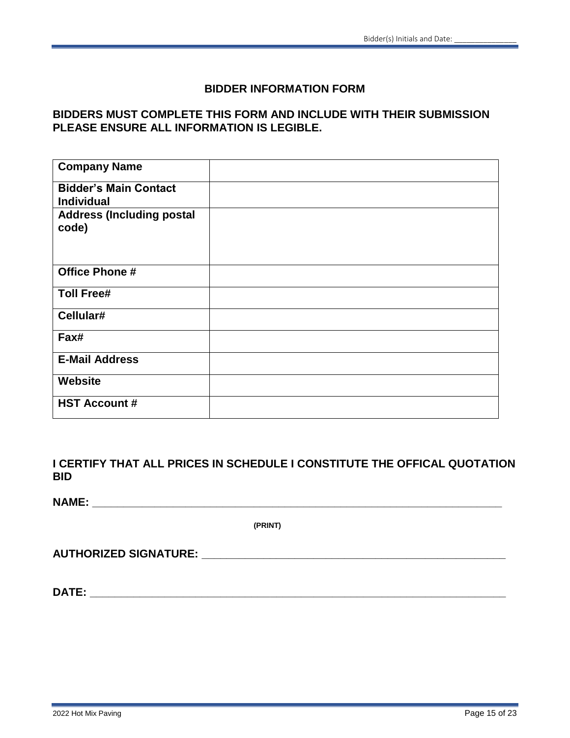#### **BIDDER INFORMATION FORM**

# **BIDDERS MUST COMPLETE THIS FORM AND INCLUDE WITH THEIR SUBMISSION PLEASE ENSURE ALL INFORMATION IS LEGIBLE.**

| <b>Company Name</b>                               |  |
|---------------------------------------------------|--|
| <b>Bidder's Main Contact</b><br><b>Individual</b> |  |
| <b>Address (Including postal</b><br>code)         |  |
| <b>Office Phone #</b>                             |  |
| <b>Toll Free#</b>                                 |  |
| Cellular#                                         |  |
| Fax#                                              |  |
| <b>E-Mail Address</b>                             |  |
| <b>Website</b>                                    |  |
| <b>HST Account #</b>                              |  |

**I CERTIFY THAT ALL PRICES IN SCHEDULE I CONSTITUTE THE OFFICAL QUOTATION BID**

**NAME: \_\_\_\_\_\_\_\_\_\_\_\_\_\_\_\_\_\_\_\_\_\_\_\_\_\_\_\_\_\_\_\_\_\_\_\_\_\_\_\_\_\_\_\_\_\_\_\_\_\_\_\_\_\_\_\_\_\_\_\_\_\_\_\_\_\_**

**(PRINT)**

**AUTHORIZED SIGNATURE: \_\_\_\_\_\_\_\_\_\_\_\_\_\_\_\_\_\_\_\_\_\_\_\_\_\_\_\_\_\_\_\_\_\_\_\_\_\_\_\_\_\_\_\_\_\_\_\_\_**

**DATE: \_\_\_\_\_\_\_\_\_\_\_\_\_\_\_\_\_\_\_\_\_\_\_\_\_\_\_\_\_\_\_\_\_\_\_\_\_\_\_\_\_\_\_\_\_\_\_\_\_\_\_\_\_\_\_\_\_\_\_\_\_\_\_\_\_\_\_**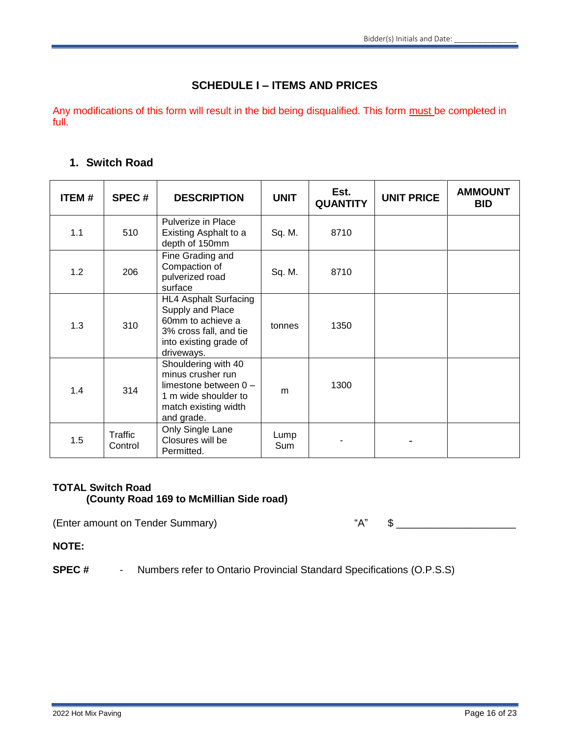# **SCHEDULE I – ITEMS AND PRICES**

Any modifications of this form will result in the bid being disqualified. This form must be completed in full.

#### **1. Switch Road**

| ITEM# | SPEC#              | <b>DESCRIPTION</b>                                                                                                                      | <b>UNIT</b>        | Est.<br><b>QUANTITY</b> | <b>UNIT PRICE</b> | <b>AMMOUNT</b><br><b>BID</b> |
|-------|--------------------|-----------------------------------------------------------------------------------------------------------------------------------------|--------------------|-------------------------|-------------------|------------------------------|
| 1.1   | 510                | Pulverize in Place<br>Existing Asphalt to a<br>depth of 150mm                                                                           | Sq. M.             | 8710                    |                   |                              |
| 1.2   | 206                | Fine Grading and<br>Compaction of<br>pulverized road<br>surface                                                                         | Sq. M.             | 8710                    |                   |                              |
| 1.3   | 310                | <b>HL4 Asphalt Surfacing</b><br>Supply and Place<br>60mm to achieve a<br>3% cross fall, and tie<br>into existing grade of<br>driveways. | tonnes             | 1350                    |                   |                              |
| 1.4   | 314                | Shouldering with 40<br>minus crusher run<br>limestone between $0 -$<br>1 m wide shoulder to<br>match existing width<br>and grade.       | m                  | 1300                    |                   |                              |
| 1.5   | Traffic<br>Control | Only Single Lane<br>Closures will be<br>Permitted.                                                                                      | Lump<br><b>Sum</b> |                         |                   |                              |

#### **TOTAL Switch Road (County Road 169 to McMillian Side road)**

(Enter amount on Tender Summary)  $A''$  \*  $\sim$   $A''$ 

**NOTE:**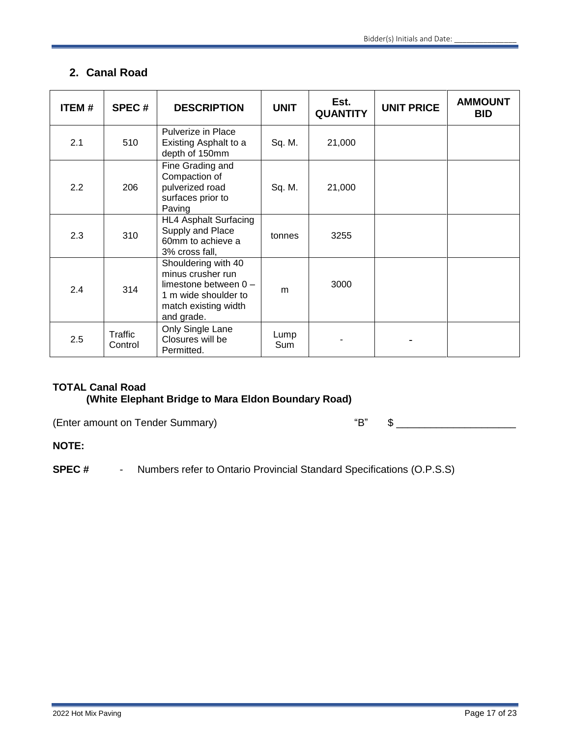# **2. Canal Road**

| <b>ITEM#</b> | <b>SPEC#</b>       | <b>DESCRIPTION</b>                                                                                                                | <b>UNIT</b> | Est.<br><b>QUANTITY</b> | <b>UNIT PRICE</b> | <b>AMMOUNT</b><br><b>BID</b> |
|--------------|--------------------|-----------------------------------------------------------------------------------------------------------------------------------|-------------|-------------------------|-------------------|------------------------------|
| 2.1          | 510                | Pulverize in Place<br>Existing Asphalt to a<br>depth of 150mm                                                                     | Sq. M.      | 21,000                  |                   |                              |
| 2.2          | 206                | Fine Grading and<br>Compaction of<br>pulverized road<br>surfaces prior to<br>Paving                                               | Sq. M.      | 21,000                  |                   |                              |
| 2.3          | 310                | <b>HL4 Asphalt Surfacing</b><br>Supply and Place<br>60mm to achieve a<br>3% cross fall,                                           | tonnes      | 3255                    |                   |                              |
| 2.4          | 314                | Shouldering with 40<br>minus crusher run<br>limestone between $0 -$<br>1 m wide shoulder to<br>match existing width<br>and grade. | m           | 3000                    |                   |                              |
| 2.5          | Traffic<br>Control | Only Single Lane<br>Closures will be<br>Permitted.                                                                                | Lump<br>Sum |                         |                   |                              |

#### **TOTAL Canal Road (White Elephant Bridge to Mara Eldon Boundary Road)**

(Enter amount on Tender Summary)  $\qquad$ "

| п |  |  |
|---|--|--|
|---|--|--|

#### **NOTE:**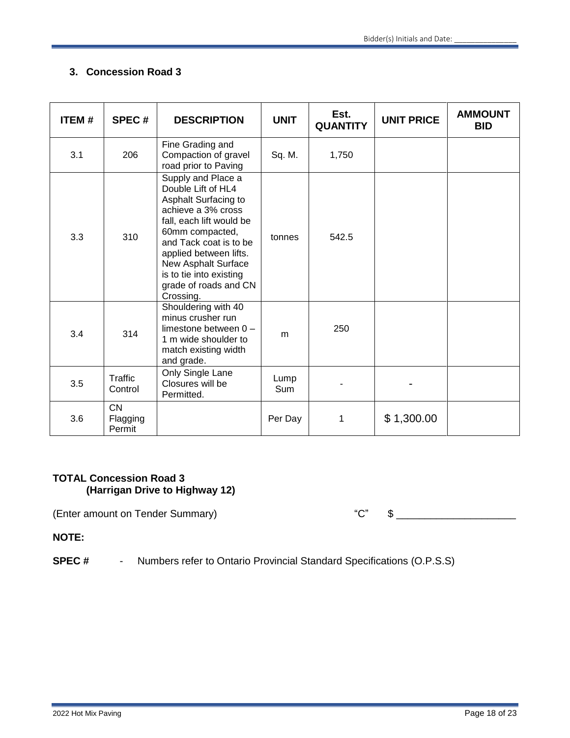# **3. Concession Road 3**

| <b>ITEM#</b> | SPEC#                           | <b>DESCRIPTION</b>                                                                                                                                                                                                                                                                | <b>UNIT</b> | Est.<br><b>QUANTITY</b> | <b>UNIT PRICE</b> | <b>AMMOUNT</b><br><b>BID</b> |
|--------------|---------------------------------|-----------------------------------------------------------------------------------------------------------------------------------------------------------------------------------------------------------------------------------------------------------------------------------|-------------|-------------------------|-------------------|------------------------------|
| 3.1          | 206                             | Fine Grading and<br>Compaction of gravel<br>road prior to Paving                                                                                                                                                                                                                  | Sq. M.      | 1,750                   |                   |                              |
| 3.3          | 310                             | Supply and Place a<br>Double Lift of HL4<br>Asphalt Surfacing to<br>achieve a 3% cross<br>fall, each lift would be<br>60mm compacted,<br>and Tack coat is to be<br>applied between lifts.<br>New Asphalt Surface<br>is to tie into existing<br>grade of roads and CN<br>Crossing. | tonnes      | 542.5                   |                   |                              |
| 3.4          | 314                             | Shouldering with 40<br>minus crusher run<br>limestone between $0 -$<br>1 m wide shoulder to<br>match existing width<br>and grade.                                                                                                                                                 | m           | 250                     |                   |                              |
| 3.5          | Traffic<br>Control              | Only Single Lane<br>Closures will be<br>Permitted.                                                                                                                                                                                                                                | Lump<br>Sum |                         |                   |                              |
| 3.6          | <b>CN</b><br>Flagging<br>Permit |                                                                                                                                                                                                                                                                                   | Per Day     | 1                       | \$1,300.00        |                              |

#### **TOTAL Concession Road 3 (Harrigan Drive to Highway 12)**

(Enter amount on Tender Summary)  $C''$   $\quad$   $C''$   $\quad$   $\quad$ 

**NOTE:**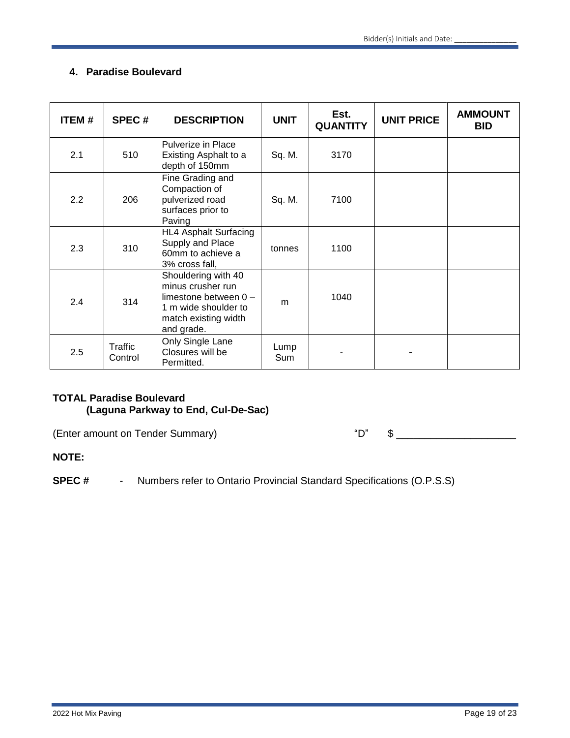# **4. Paradise Boulevard**

| <b>ITEM#</b> | SPEC#              | <b>DESCRIPTION</b>                                                                                                                | <b>UNIT</b> | Est.<br><b>QUANTITY</b> | <b>UNIT PRICE</b> | <b>AMMOUNT</b><br><b>BID</b> |
|--------------|--------------------|-----------------------------------------------------------------------------------------------------------------------------------|-------------|-------------------------|-------------------|------------------------------|
| 2.1          | 510                | Pulverize in Place<br>Existing Asphalt to a<br>depth of 150mm                                                                     | Sq. M.      | 3170                    |                   |                              |
| 2.2          | 206                | Fine Grading and<br>Compaction of<br>pulverized road<br>surfaces prior to<br>Paving                                               | Sq. M.      | 7100                    |                   |                              |
| 2.3          | 310                | <b>HL4 Asphalt Surfacing</b><br>Supply and Place<br>60mm to achieve a<br>3% cross fall,                                           | tonnes      | 1100                    |                   |                              |
| 2.4          | 314                | Shouldering with 40<br>minus crusher run<br>limestone between $0 -$<br>1 m wide shoulder to<br>match existing width<br>and grade. | m           | 1040                    |                   |                              |
| 2.5          | Traffic<br>Control | Only Single Lane<br>Closures will be<br>Permitted.                                                                                | Lump<br>Sum |                         |                   |                              |

# **TOTAL Paradise Boulevard (Laguna Parkway to End, Cul-De-Sac)**

(Enter amount on Tender Summary)  $\bullet$  "D"  $\bullet$  \_\_\_\_\_\_\_\_\_\_\_\_\_\_\_\_\_\_\_\_\_\_\_\_\_\_\_\_\_\_\_\_\_\_

#### **NOTE:**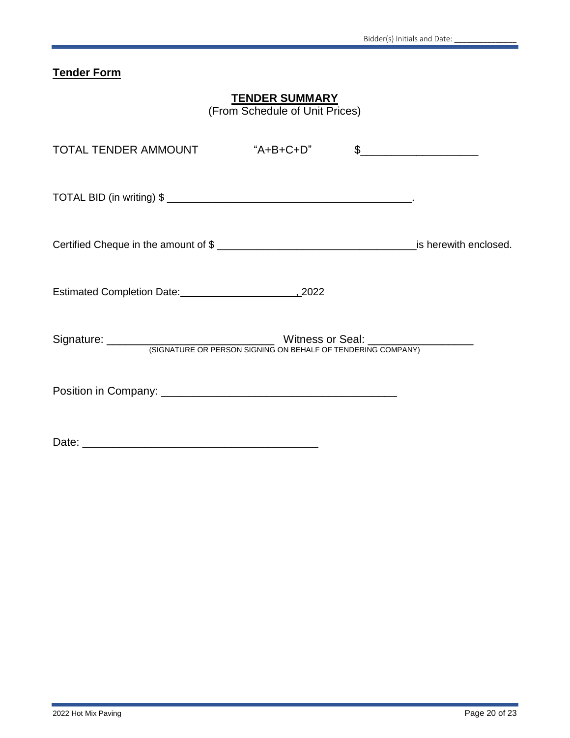# **Tender Form**

# **TENDER SUMMARY**

(From Schedule of Unit Prices)

| TOTAL TENDER AMMOUNT            | "A+B+C+D" | $\frac{1}{2}$ |
|---------------------------------|-----------|---------------|
|                                 |           |               |
|                                 |           |               |
| Estimated Completion Date: 2022 |           |               |
|                                 |           |               |
|                                 |           |               |
|                                 |           |               |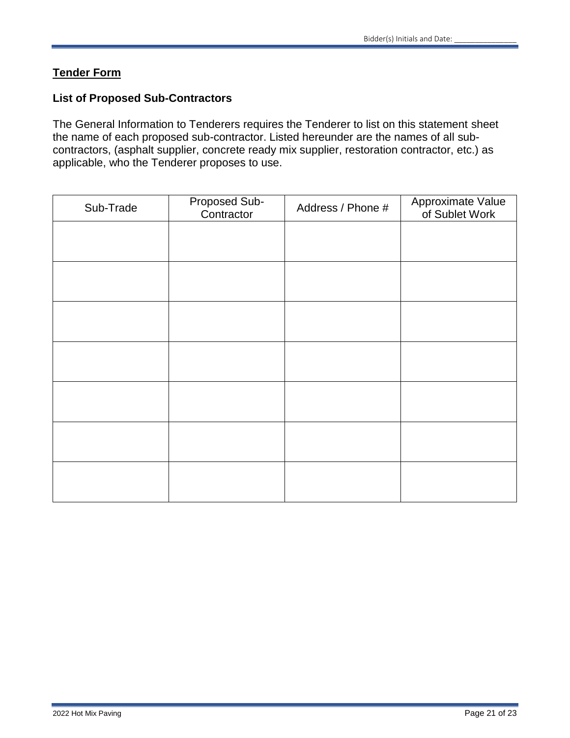# **Tender Form**

## **List of Proposed Sub-Contractors**

The General Information to Tenderers requires the Tenderer to list on this statement sheet the name of each proposed sub-contractor. Listed hereunder are the names of all subcontractors, (asphalt supplier, concrete ready mix supplier, restoration contractor, etc.) as applicable, who the Tenderer proposes to use.

| Sub-Trade | Proposed Sub-<br>Contractor | Address / Phone # | Approximate Value<br>of Sublet Work |
|-----------|-----------------------------|-------------------|-------------------------------------|
|           |                             |                   |                                     |
|           |                             |                   |                                     |
|           |                             |                   |                                     |
|           |                             |                   |                                     |
|           |                             |                   |                                     |
|           |                             |                   |                                     |
|           |                             |                   |                                     |
|           |                             |                   |                                     |
|           |                             |                   |                                     |
|           |                             |                   |                                     |
|           |                             |                   |                                     |
|           |                             |                   |                                     |
|           |                             |                   |                                     |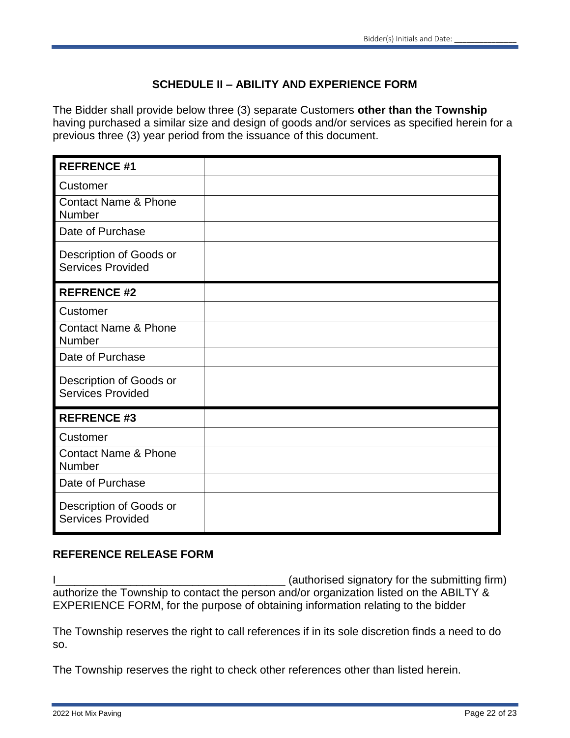# **SCHEDULE II – ABILITY AND EXPERIENCE FORM**

The Bidder shall provide below three (3) separate Customers **other than the Township**  having purchased a similar size and design of goods and/or services as specified herein for a previous three (3) year period from the issuance of this document.

| <b>REFRENCE #1</b>                                  |  |
|-----------------------------------------------------|--|
| Customer                                            |  |
| <b>Contact Name &amp; Phone</b><br>Number           |  |
| Date of Purchase                                    |  |
| Description of Goods or<br><b>Services Provided</b> |  |
| <b>REFRENCE #2</b>                                  |  |
| Customer                                            |  |
| <b>Contact Name &amp; Phone</b><br>Number           |  |
| Date of Purchase                                    |  |
| Description of Goods or<br><b>Services Provided</b> |  |
| <b>REFRENCE #3</b>                                  |  |
| Customer                                            |  |
| <b>Contact Name &amp; Phone</b><br>Number           |  |
| Date of Purchase                                    |  |
| Description of Goods or<br><b>Services Provided</b> |  |

# **REFERENCE RELEASE FORM**

I\_\_\_\_\_\_\_\_\_\_\_\_\_\_\_\_\_\_\_\_\_\_\_\_\_\_\_\_\_\_\_\_\_\_\_\_\_ (authorised signatory for the submitting firm) authorize the Township to contact the person and/or organization listed on the ABILTY & EXPERIENCE FORM, for the purpose of obtaining information relating to the bidder

The Township reserves the right to call references if in its sole discretion finds a need to do so.

The Township reserves the right to check other references other than listed herein.